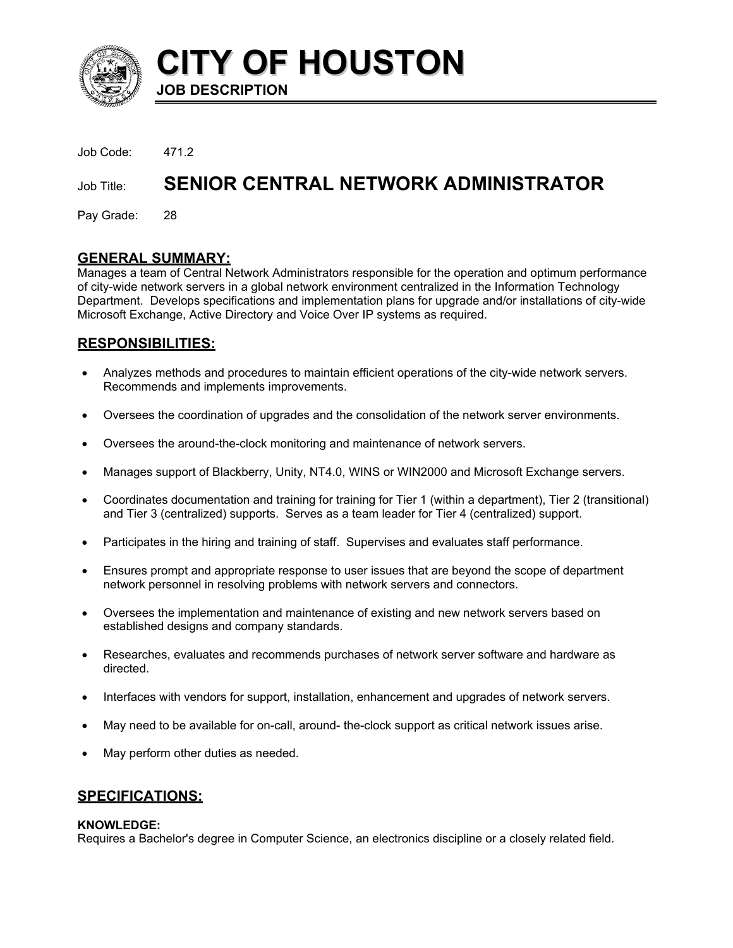

**CITY OF HOUSTON JOB DESCRIPTION** 

Job Code: 471.2

# Job Title: **SENIOR CENTRAL NETWORK ADMINISTRATOR**

Pay Grade: 28

## **GENERAL SUMMARY:**

Manages a team of Central Network Administrators responsible for the operation and optimum performance of city-wide network servers in a global network environment centralized in the Information Technology Department. Develops specifications and implementation plans for upgrade and/or installations of city-wide Microsoft Exchange, Active Directory and Voice Over IP systems as required.

# **RESPONSIBILITIES:**

- Analyzes methods and procedures to maintain efficient operations of the city-wide network servers. Recommends and implements improvements. •
- Oversees the coordination of upgrades and the consolidation of the network server environments.
- Oversees the around-the-clock monitoring and maintenance of network servers.
- Manages support of Blackberry, Unity, NT4.0, WINS or WIN2000 and Microsoft Exchange servers.
- Coordinates documentation and training for training for Tier 1 (within a department), Tier 2 (transitional) and Tier 3 (centralized) supports. Serves as a team leader for Tier 4 (centralized) support.
- Participates in the hiring and training of staff. Supervises and evaluates staff performance.
- Ensures prompt and appropriate response to user issues that are beyond the scope of department network personnel in resolving problems with network servers and connectors.
- Oversees the implementation and maintenance of existing and new network servers based on established designs and company standards.
- Researches, evaluates and recommends purchases of network server software and hardware as directed.
- Interfaces with vendors for support, installation, enhancement and upgrades of network servers.
- May need to be available for on-call, around- the-clock support as critical network issues arise.
- May perform other duties as needed.

#### **SPECIFICATIONS:**

#### **KNOWLEDGE:**

Requires a Bachelor's degree in Computer Science, an electronics discipline or a closely related field.